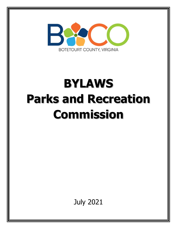

# **BYLAWS Parks and Recreation Commission**

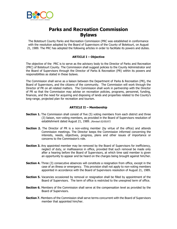

# **Parks and Recreation Commission Bylaws**

The Botetourt County Parks and Recreation Commission (PRC was established in conformance with the resolution adopted by the Board of Supervisors of the County of Botetourt, on August 21, 1989. The PRC has adopted the following articles in order to facilitate its powers and duties.

# **ARTICLE I – Objective**

The objective of the PRC is to serve as the advisory body to the Director of Parks and Recreation (PRC) of Botetourt County. The Commission shall suggest policies to the County Administrator and the Board of Supervisors through the Director of Parks & Recreation (PR) within its powers and responsibilities as stated in these bylaws.

The Commission shall serve as a liaison between the Department of Parks & Recreation (PR), the Board of Supervisors, and the citizens of the community. The Commission will work through the Director of PR on all related matters. The Commission shall work in partnership with the Director of PR so that the Commission may advise on recreation policies, programs, personnel, funding, finances, and the need for acquiring and disposing of lands and properties related to the County's long-range, projected plan for recreation and tourism.

#### **ARTICLE II – Membership**

- **Section 1.** The Commission shall consist of five (5) voting members from each district and three (3) liaison, non-voting members, as provided in the Board of Supervisors resolution of establishment dated August 21, 1989. (Revised 02/05/07)
- **Section 2.** The Director of PR is a non-voting member (by virtue of the office) and attends Commission meetings. The Director keeps the Commission informed concerning the interests, needs, objectives, progress, plans and other issues of importance or concerns to the Commission's role.
- **Section 3.** Any appointed member may be removed by the Board of Supervisors for inefficiency, neglect of duty, or malfeasance in office, provided that such removal be made only after a hearing before the Board of Supervisors, at which time said member is given an opportunity to appear and be heard on the charges being brought against him/her.
- **Section 4.** Three (3) consecutive absences will constitute a resignation from office, except in the case of an illness or emergency. This provision shall not apply to non-voting members appointed in accordance with the Board of Supervisors resolution of August 21, 1989.
- **Section 5.** Vacancies occasioned by removal or resignation shall be filled by appointment of the Board of Supervisors. The term of office is restricted to the unexpired term of office.
- **Section 6.** Members of the Commission shall serve at the compensation level as provided by the Board of Supervisors.
- **Section 7.** Members of the Commission shall serve terms concurrent with the Board of Supervisors member that appointed him/her.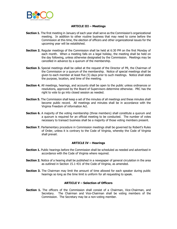

## **ARTICLE III – Meetings**

- **Section 1.** The first meeting in January of each year shall serve as the Commission's organizational meeting. In addition to other routine business that may need to come before the Commission at this time, the election of officers and other organizational issues for the upcoming year will be established.
- **Section 2.** Regular meetings of the Commission shall be held at 6:30 PM on the first Monday of each month. When a meeting falls on a legal holiday, the meeting shall be held on the day following, unless otherwise designated by the Commission. Meetings may be cancelled in advance by a quorum of the membership.
- **Section 3.** Special meetings shall be called at the request of the Director of PR, the Chairman of the Commission or a quorum of the membership. Notice of special meetings shall be given to each member at least five (5) days prior to such meetings. Notice shall state the purpose, location, and time of the meeting.
- **Section 4.** All meetings, hearings, and accounts shall be open to the public unless ordinances or resolutions, approved by the Board of Supervisors determine otherwise. PRC has the right to vote to go into closed session as needed.
- **Section 5.** The Commission shall keep a set of the minutes of all meetings and these minutes shall become public record. All meetings and minutes shall be in accordance with the Virginia Freedom of information Act.
- **Section 6.** A majority of the voting membership (three members) shall constitute a quorum and a quorum is required for an official meeting to be conducted. The number of votes necessary to transact business shall be a majority of those voting members present.
- **Section 7.** Parliamentary procedure in Commission meetings shall be governed by Robert's Rules of Order, unless it is contrary to the Code of Virginia, whereby the Code of Virginia shall prevail.

#### **ARTICLE IV – Hearings**

- **Section 1.** Public hearings before the Commission shall be scheduled as needed and advertised in accordance with the Code of Virginia where required.
- **Section 2.** Notice of a hearing shall be published in a newspaper of general circulation in the area as outlined in Section 15.1-431 of the Code of Virginia, as amended.
- **Section 3.** The Chairman may limit the amount of time allowed for each speaker during public hearings so long as the time limit is uniform for all requesting to speak.

#### **ARTICLE V – Selection of Officers**

**Section 1.** The officers of the Commission shall consist of a Chairman, Vice-Chairman, and Secretary. The Chairman and Vice-Chairman shall be voting members of the Commission. The Secretary may be a non-voting member.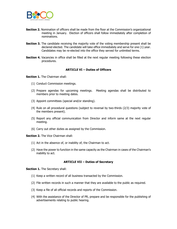

- **Section 2.** Nomination of officers shall be made from the floor at the Commission's organizational meeting in January. Election of officers shall follow immediately after completion of nominations.
- **Section 3.** The candidate receiving the majority vote of the voting membership present shall be declared elected. The candidate will take office immediately and serve for one (1) year. Candidates may be re-elected into the office they served for unlimited terms.
- **Section 4.** Vacancies in office shall be filled at the next regular meeting following these election procedures.

#### **ARTICLE VI – Duties of Officers**

**Section 1.** The Chairman shall:

- (1) Conduct Commission meetings.
- (2) Prepare agendas for upcoming meetings. Meeting agendas shall be distributed to members prior to meeting dates.
- (3) Appoint committees (special and/or standing).
- (4) Rule on all procedural questions (subject to reversal by two-thirds (2/3) majority vote of the members present).
- (5) Report any official communication from Director and inform same at the next regular meeting.
- (6) Carry out other duties as assigned by the Commission.

**Section 2.** The Vice Chairman shall:

- (1) Act in the absence of, or inability of, the Chairman to act.
- (2) Have the power to function in the same capacity as the Chairman in cases of the Chairman's inability to act.

## **ARTICLE VII – Duties of Secretary**

**Section 1.** The Secretary shall:

- (1) Keep a written record of all business transacted by the Commission.
- (2) File written records in such a manner that they are available to the public as required.
- (3) Keep a file of all official records and reports of the Commission.
- (4) With the assistance of the Director of PR, prepare and be responsible for the publishing of advertisements relating to public hearing.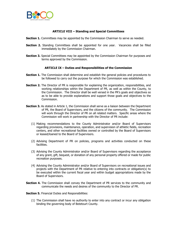

#### **ARTICLE VIII – Standing and Special Committees**

- **Section 1.** Committees may be appointed by the Commission Chairman to serve as needed.
- **Section 2.** Standing Committees shall be appointed for one year. Vacancies shall be filled immediately by the Commission Chairman.
- **Section 3.** Special Committees may be appointed by the Commission Chairman for purposes and terms approved by the Commission.

#### **ARTICLE IX – Duties and Responsibilities of the Commission**

- **Section 1.** The Commission shall determine and establish the general policies and procedures to be followed to carry out the purpose for which the Commission was established.
- **Section 2.** The Director of PR is responsible for explaining the organization, responsibilities, and working relationships within the Department of PR, as well as within the County, to the Commission. The Director shall be well versed in the PR's goals and objectives so as to be able to provide explanations and support those goals and objectives to the Commission.
- Section 3. As stated in Article 1, the Commission shall serve as a liaison between the Department of PR, the Board of Supervisors, and the citizens of the community. The Commission will work through the Director of PR on all related matters. Specific areas where the Commission will work in partnership with the Director of PR include:
	- (1) Making recommendations to the County Administrator and/or Board of Supervisors regarding provisions, maintenance, operation, and supervision of athletic fields, recreation centers, and other recreational facilities owned or controlled by the Board of Supervisors or leased/loaned to the Board of Supervisors.
	- (2) Advising Department of PR on policies, programs and activities conducted on these facilities.
	- (3) Advising the County Administrator and/or Board of Supervisors regarding the acceptance of any grant, gift, bequest, or donation of any personal property offered or made for public recreation purposes.
	- (4) Advising the County Administrator and/or Board of Supervisors on recreational issues and projects with the Department of PR relative to entering into contracts or obligation(s) to be executed within the current fiscal year and within budget appropriations made by the Board of Supervisors.
- **Section 4.** The Commission shall convey the Department of PR services to the community and communicate the needs and desires of the community to the Director of PR.

**Section 5.** Financial Duties and Responsibilities:

(1) The Commission shall have no authority to enter into any contract or incur any obligation binding the governing body of Botetourt County.